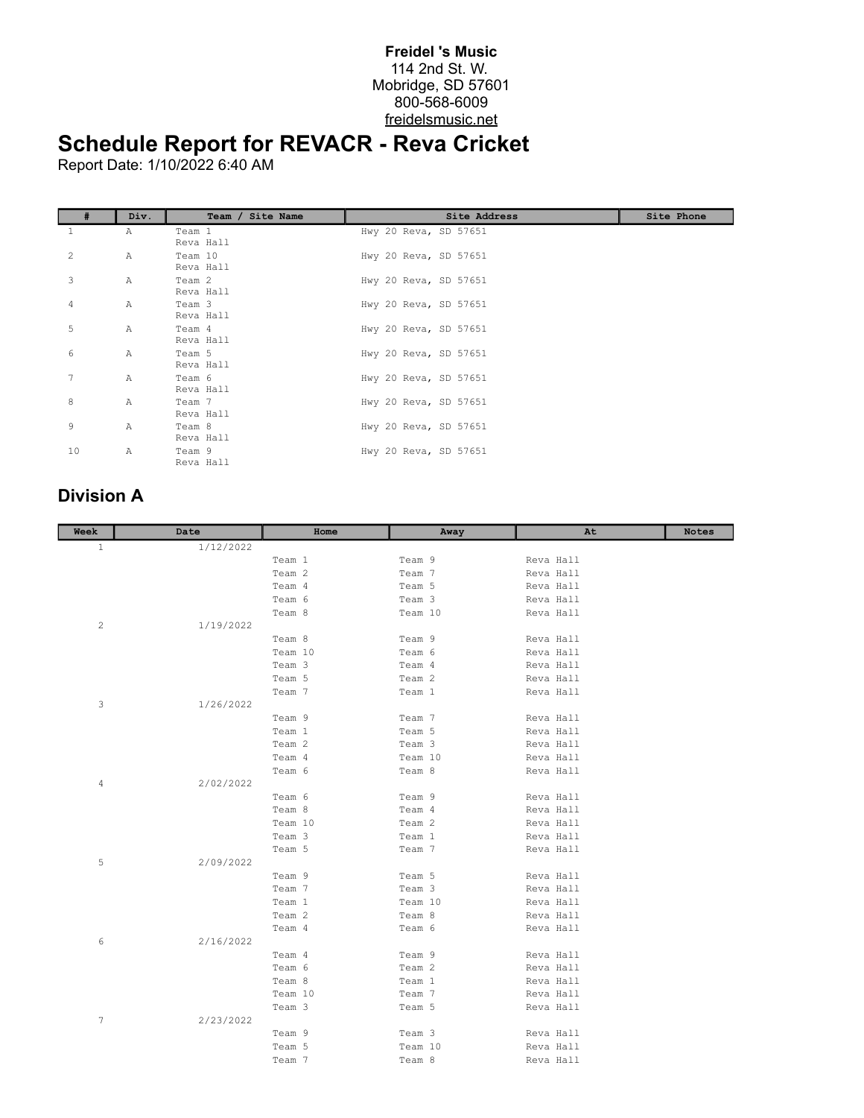## **Freidel 's Music** 114 2nd St. W. Mobridge, SD 57601 800-568-6009 freidelsmusic.net

## **Schedule Report for REVACR - Reva Cricket**

Report Date: 1/10/2022 6:40 AM

|    | Div.         | Team / Site Name     | Site Address          | Site Phone |
|----|--------------|----------------------|-----------------------|------------|
| 1  | Α            | Team 1<br>Reva Hall  | Hwy 20 Reva, SD 57651 |            |
| 2  | Α            | Team 10<br>Reva Hall | Hwy 20 Reva, SD 57651 |            |
| 3  | Α            | Team 2<br>Reva Hall  | Hwy 20 Reva, SD 57651 |            |
| 4  | Α            | Team 3<br>Reva Hall  | Hwy 20 Reva, SD 57651 |            |
| 5  | Α            | Team 4<br>Reva Hall  | Hwy 20 Reva, SD 57651 |            |
| 6  | A            | Team 5<br>Reva Hall  | Hwy 20 Reva, SD 57651 |            |
| 7  | $\mathbb{A}$ | Team 6<br>Reva Hall  | Hwy 20 Reva, SD 57651 |            |
| 8  | $\mathbb{A}$ | Team 7<br>Reva Hall  | Hwy 20 Reva, SD 57651 |            |
| 9  | A            | Team 8<br>Reva Hall  | Hwy 20 Reva, SD 57651 |            |
| 10 | Α            | Team 9<br>Reva Hall  | Hwy 20 Reva, SD 57651 |            |

## **Division A**

| Week         | Date      | Home    | Away    | At        | <b>Notes</b> |
|--------------|-----------|---------|---------|-----------|--------------|
| $\mathbf{1}$ | 1/12/2022 |         |         |           |              |
|              |           | Team 1  | Team 9  | Reva Hall |              |
|              |           | Team 2  | Team 7  | Reva Hall |              |
|              |           | Team 4  | Team 5  | Reva Hall |              |
|              |           | Team 6  | Team 3  | Reva Hall |              |
|              |           | Team 8  | Team 10 | Reva Hall |              |
| 2            | 1/19/2022 |         |         |           |              |
|              |           | Team 8  | Team 9  | Reva Hall |              |
|              |           | Team 10 | Team 6  | Reva Hall |              |
|              |           | Team 3  | Team 4  | Reva Hall |              |
|              |           | Team 5  | Team 2  | Reva Hall |              |
|              |           | Team 7  | Team 1  | Reva Hall |              |
| 3            | 1/26/2022 |         |         |           |              |
|              |           | Team 9  | Team 7  | Reva Hall |              |
|              |           | Team 1  | Team 5  | Reva Hall |              |
|              |           | Team 2  | Team 3  | Reva Hall |              |
|              |           | Team 4  | Team 10 | Reva Hall |              |
|              |           | Team 6  | Team 8  | Reva Hall |              |
| 4            | 2/02/2022 |         |         |           |              |
|              |           | Team 6  | Team 9  | Reva Hall |              |
|              |           | Team 8  | Team 4  | Reva Hall |              |
|              |           | Team 10 | Team 2  | Reva Hall |              |
|              |           | Team 3  | Team 1  | Reva Hall |              |
|              |           | Team 5  | Team 7  | Reva Hall |              |
| 5            | 2/09/2022 |         |         |           |              |
|              |           | Team 9  | Team 5  | Reva Hall |              |
|              |           | Team 7  | Team 3  | Reva Hall |              |
|              |           | Team 1  | Team 10 | Reva Hall |              |
|              |           | Team 2  | Team 8  | Reva Hall |              |
|              |           | Team 4  | Team 6  | Reva Hall |              |
| 6            | 2/16/2022 |         |         |           |              |
|              |           | Team 4  | Team 9  | Reva Hall |              |
|              |           | Team 6  | Team 2  | Reva Hall |              |
|              |           | Team 8  | Team 1  | Reva Hall |              |
|              |           | Team 10 | Team 7  | Reva Hall |              |
|              |           | Team 3  | Team 5  | Reva Hall |              |
| 7            | 2/23/2022 |         |         |           |              |
|              |           | Team 9  | Team 3  | Reva Hall |              |
|              |           | Team 5  | Team 10 | Reva Hall |              |
|              |           | Team 7  | Team 8  | Reva Hall |              |